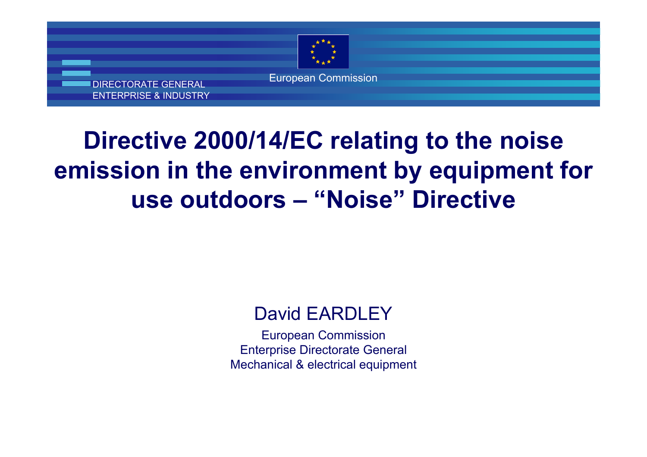

# **Directive 2000/14/EC relating to the noise emission in the environment by equipment forming use outdoors – "Noise" Directive**

#### David EARDLEY

European Commission Enterprise Directorate General Mechanical & electrical equipment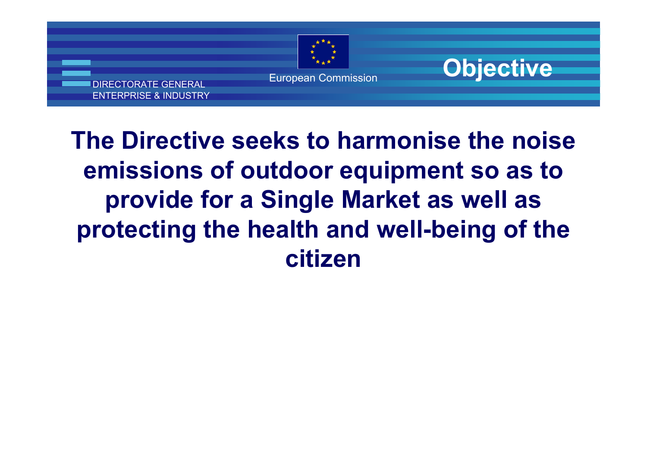



# **The Directive seeks to harmonise the noise emissions of outdoor equipment so as to provide for a Single Market as well as protecting the health and well-being of the citizen**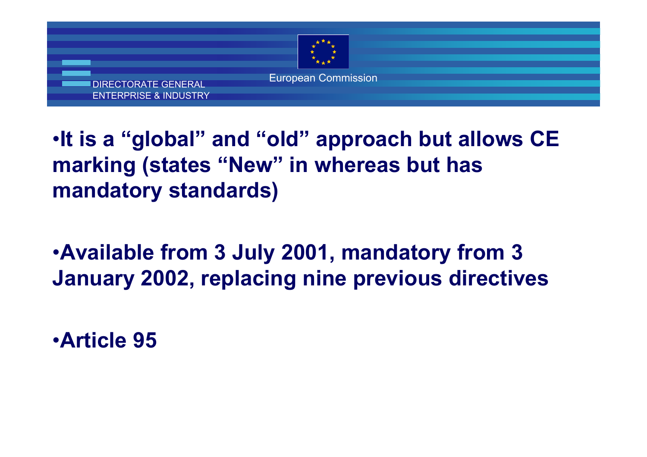

#### •**It is a "global" and "old" approach but allows CE marking (states "New" in whereas but has mandatory standards)**

#### •**Available from 3 July 2001, mandatory from 3 January 2002, replacing nine previous directives**

#### •**Article 95**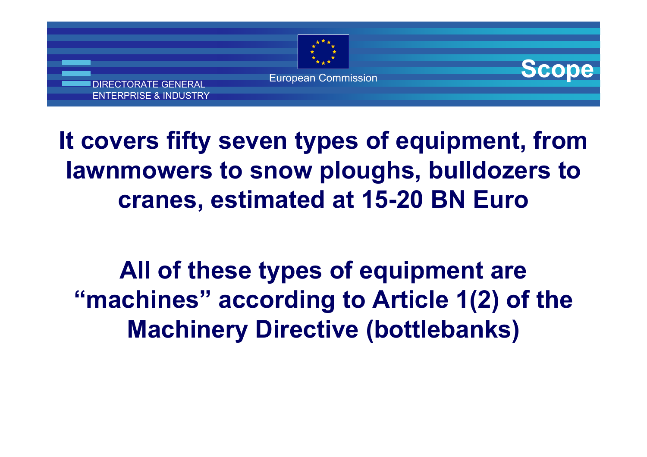

**Scope**



# **It covers fifty seven types of equipment, from lawnmowers to snow ploughs, bulldozers to cranes, estimated at 15-20 BN Euro**

**All of these types of equipment are "machines" according to Article 1(2) of the Machinery Directive (bottlebanks)**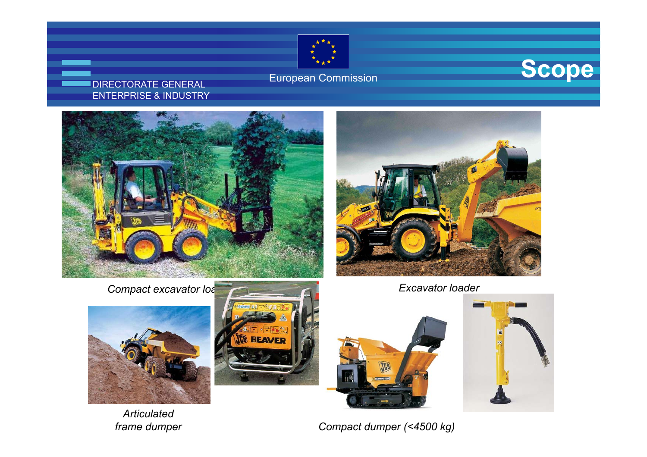

#### European Commission **Scope**

#### DIRECTORATE GENERAL ENTERPRISE & INDUSTRY







*Articulated* 





*frame dumper Compact dumper (<4500 kg)*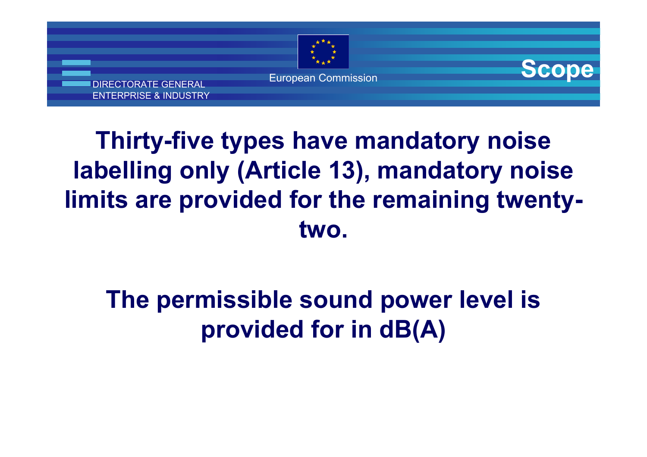

**Scope**



# **Thirty-five types have mandatory noise labelling only (Article 13), mandatory noise limits are provided for the remaining twentytwo.**

# **The permissible sound power level is provided for in dB(A)**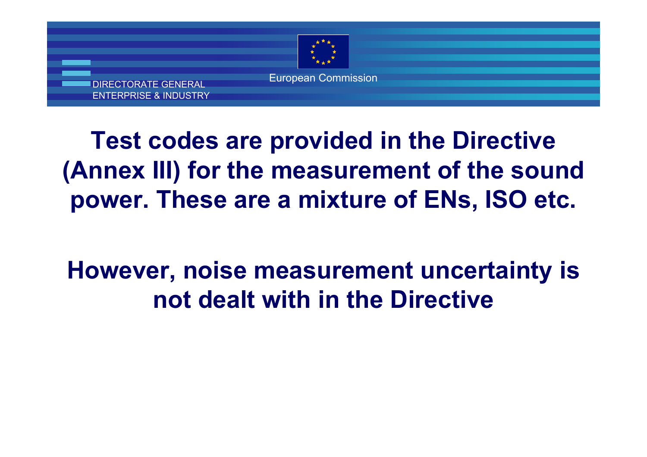

# **Test codes are provided in the Directive (Annex III) for the measurement of the sound power. These are a mixture of ENs, ISO etc.**

# **However, noise measurement uncertainty is not dealt with in the Directive**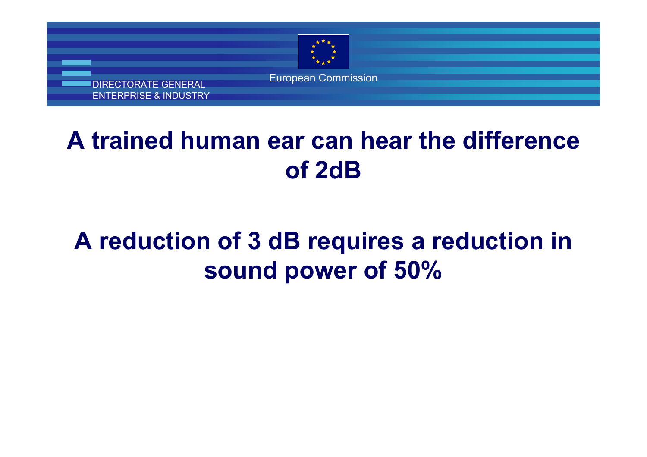

DIRECTORATE GENERAL ENTERPRISE & INDUSTRY

# **A trained human ear can hear the difference of 2dB**

# **A reduction of 3 dB requires a reduction in sound power of 50%**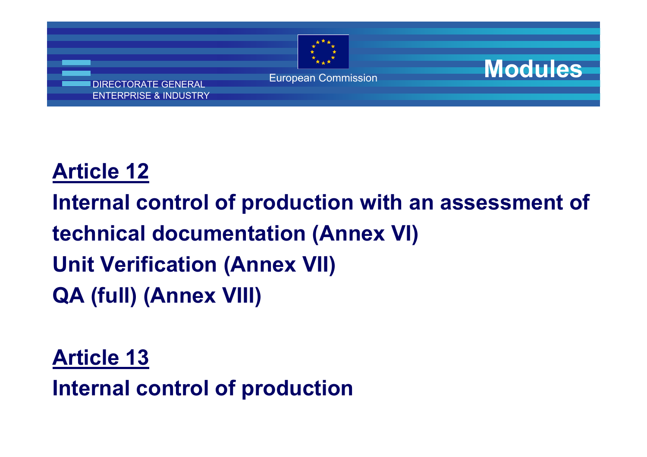

**Modules**

# **Article 12**

- **Internal control of production with an assessment of**
- **technical documentation (Annex VI)**
- **Unit Verification (Annex VII)**
- **QA (full) (Annex VIII)**
- **Article 13**
	- **Internal control of production**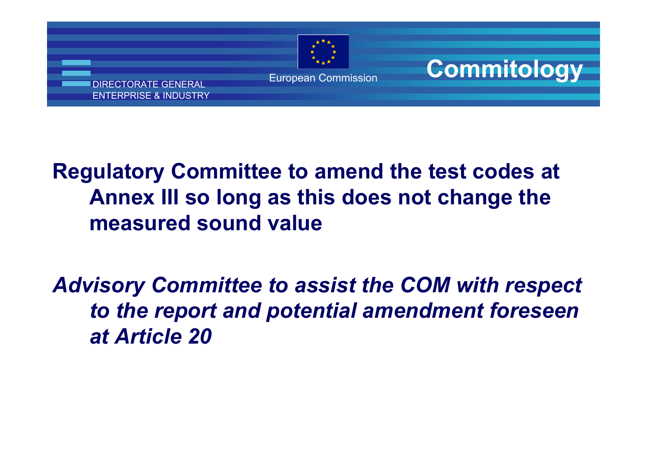

**Commitology**

#### **Regulatory Committee to amend the test codes at Annex III so long as this does not change the measured sound value**

#### *Advisory Committee to assist the COM with respect to the report and potential amendment foreseen at Article 20*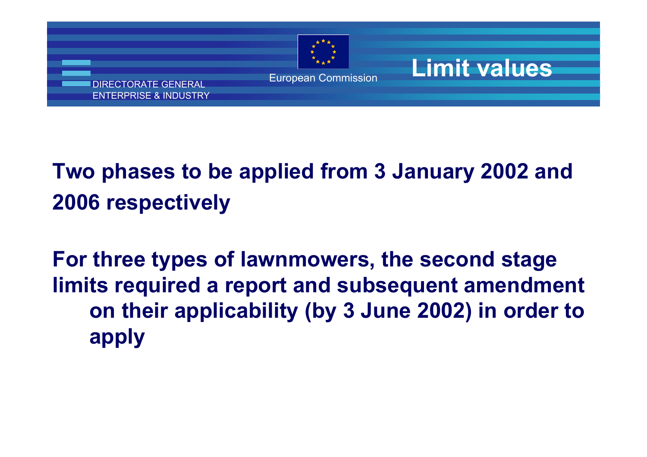

**Limit values**

# **Two phases to be applied from 3 January 2002 and 2006 respectively**

**For three types of lawnmowers, the second stage limits required a report and subsequent amendment on their applicability (by 3 June 2002) in order to apply**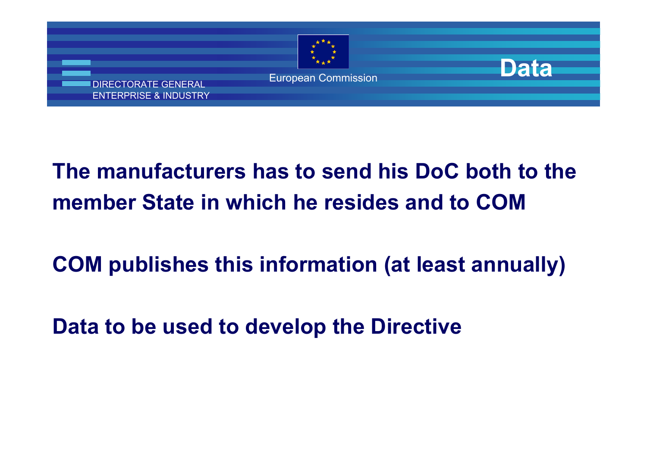

**Data**

# **The manufacturers has to send his DoC both to themember State in which he resides and to COM**

#### **COM publishes this information (at least annually)**

**Data to be used to develop the Directive**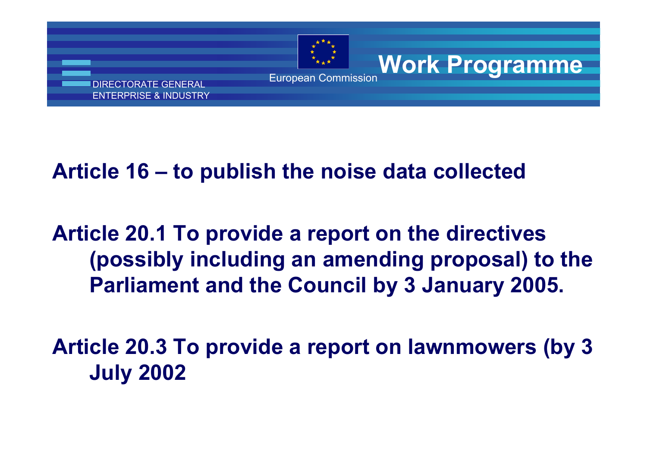

**Work Programme**

#### **Article 16 – to publish the noise data collected**

#### **Article 20.1 To provide a report on the directives (possibly including an amending proposal) to the Parliament and the Council by 3 January 2005.**

**Article 20.3 To provide a report on lawnmowers (by 3 July 2002**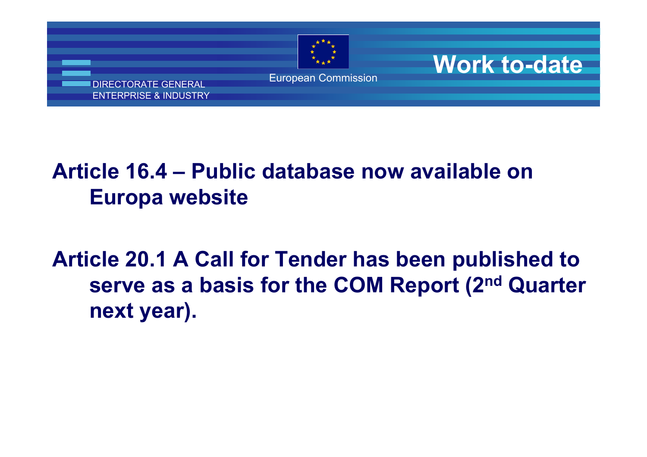

**Work to-date**

DIRECTORATE GENERAL ENTERPRISE & INDUSTRY

#### **Article 16.4 – Public database now available on Europa website**

**Article 20.1 A Call for Tender has been published to serve as a basis for the COM Report (2nd Quarter next year).**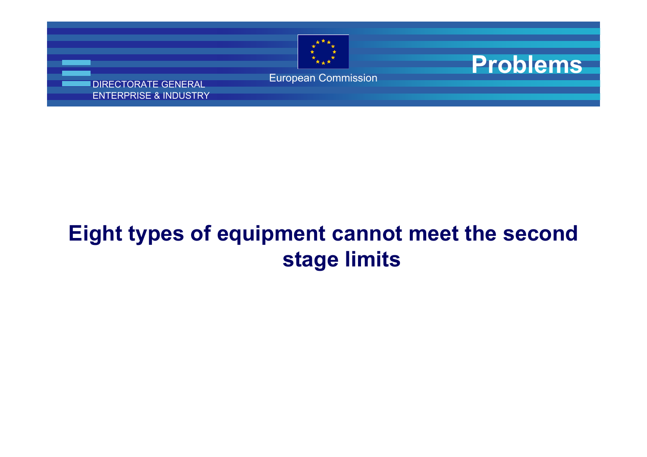

**Problems**

DIRECTORATE GENERAL ENTERPRISE & INDUSTRY

### **Eight types of equipment cannot meet the second stage limits**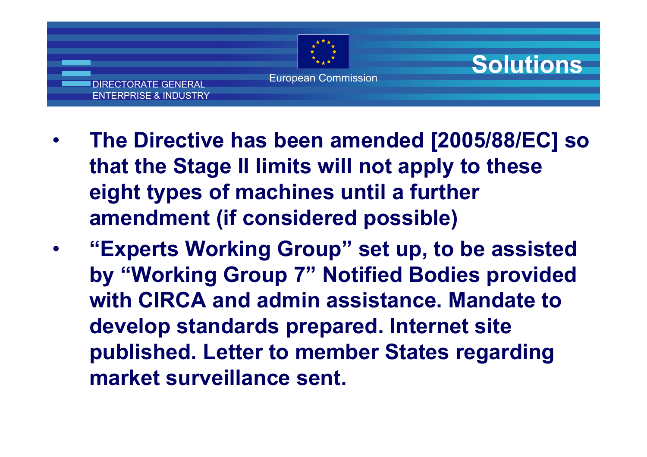

**Solutions**

European Commission

DIRECTORATE GENERAL ENTERPRISE & INDUSTRY

 **The Directive has been amended [2005/88/EC] so that the Stage II limits will not apply to these eight types of machines until a further amendment (if considered possible)**

 **"Experts Working Group" set up, to be assisted by "Working Group 7" Notified Bodies provided with CIRCA and admin assistance. Mandate to develop standards prepared. Internet site published. Letter to member States regarding market surveillance sent.**